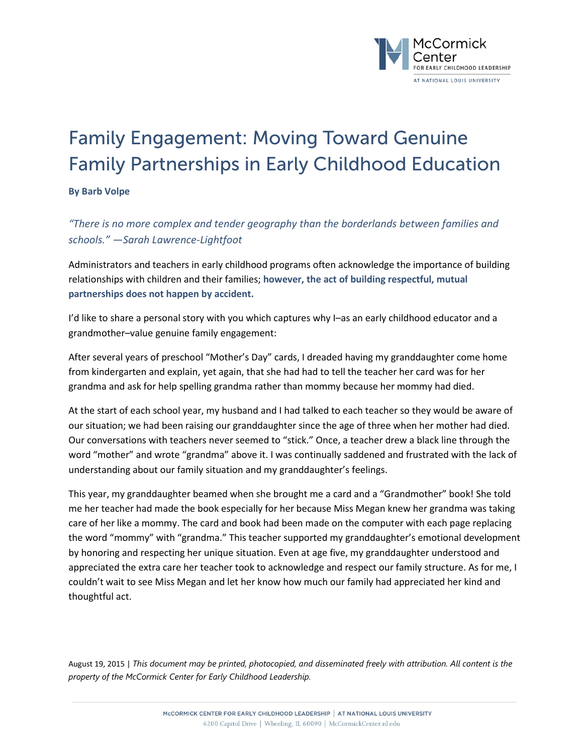

## Family Engagement: Moving Toward Genuine Family Partnerships in Early Childhood Education

**By Barb Volpe**

*"There is no more complex and tender geography than the borderlands between families and schools." —Sarah Lawrence-Lightfoot*

Administrators and teachers in early childhood programs often acknowledge the importance of building relationships with children and their families; **however, the act of building respectful, mutual partnerships does not happen by accident.**

I'd like to share a personal story with you which captures why I–as an early childhood educator and a grandmother–value genuine family engagement:

After several years of preschool "Mother's Day" cards, I dreaded having my granddaughter come home from kindergarten and explain, yet again, that she had had to tell the teacher her card was for her grandma and ask for help spelling grandma rather than mommy because her mommy had died.

At the start of each school year, my husband and I had talked to each teacher so they would be aware of our situation; we had been raising our granddaughter since the age of three when her mother had died. Our conversations with teachers never seemed to "stick." Once, a teacher drew a black line through the word "mother" and wrote "grandma" above it. I was continually saddened and frustrated with the lack of understanding about our family situation and my granddaughter's feelings.

This year, my granddaughter beamed when she brought me a card and a "Grandmother" book! She told me her teacher had made the book especially for her because Miss Megan knew her grandma was taking care of her like a mommy. The card and book had been made on the computer with each page replacing the word "mommy" with "grandma." This teacher supported my granddaughter's emotional development by honoring and respecting her unique situation. Even at age five, my granddaughter understood and appreciated the extra care her teacher took to acknowledge and respect our family structure. As for me, I couldn't wait to see Miss Megan and let her know how much our family had appreciated her kind and thoughtful act.

August 19, 2015 | *This document may be printed, photocopied, and disseminated freely with attribution. All content is the property of the McCormick Center for Early Childhood Leadership.*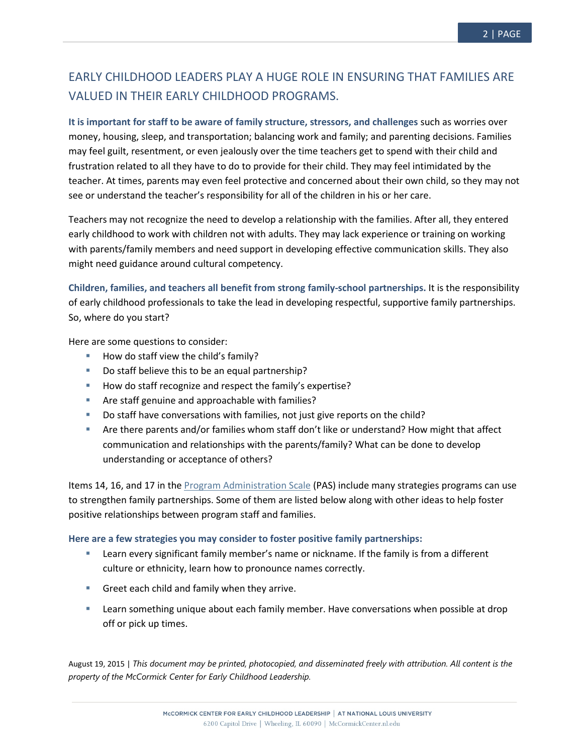## EARLY CHILDHOOD LEADERS PLAY A HUGE ROLE IN ENSURING THAT FAMILIES ARE VALUED IN THEIR EARLY CHILDHOOD PROGRAMS.

**It is important for staff to be aware of family structure, stressors, and challenges** such as worries over money, housing, sleep, and transportation; balancing work and family; and parenting decisions. Families may feel guilt, resentment, or even jealously over the time teachers get to spend with their child and frustration related to all they have to do to provide for their child. They may feel intimidated by the teacher. At times, parents may even feel protective and concerned about their own child, so they may not see or understand the teacher's responsibility for all of the children in his or her care.

Teachers may not recognize the need to develop a relationship with the families. After all, they entered early childhood to work with children not with adults. They may lack experience or training on working with parents/family members and need support in developing effective communication skills. They also might need guidance around cultural competency.

**Children, families, and teachers all benefit from strong family-school partnerships.** It is the responsibility of early childhood professionals to take the lead in developing respectful, supportive family partnerships. So, where do you start?

Here are some questions to consider:

- $\blacksquare$  How do staff view the child's family?
- Do staff believe this to be an equal partnership?
- How do staff recognize and respect the family's expertise?
- **Are staff genuine and approachable with families?**
- Do staff have conversations with families, not just give reports on the child?
- Are there parents and/or families whom staff don't like or understand? How might that affect communication and relationships with the parents/family? What can be done to develop understanding or acceptance of others?

Items 14, 16, and 17 in the [Program Administration Scale](http://mccormickcenter.nl.edu/program-evaluation/program-administration-scale-pas/) (PAS) include many strategies programs can use to strengthen family partnerships. Some of them are listed below along with other ideas to help foster positive relationships between program staff and families.

## **Here are a few strategies you may consider to foster positive family partnerships:**

- Learn every significant family member's name or nickname. If the family is from a different culture or ethnicity, learn how to pronounce names correctly.
- Greet each child and family when they arrive.
- **EXECT** Learn something unique about each family member. Have conversations when possible at drop off or pick up times.

August 19, 2015 | *This document may be printed, photocopied, and disseminated freely with attribution. All content is the property of the McCormick Center for Early Childhood Leadership.*